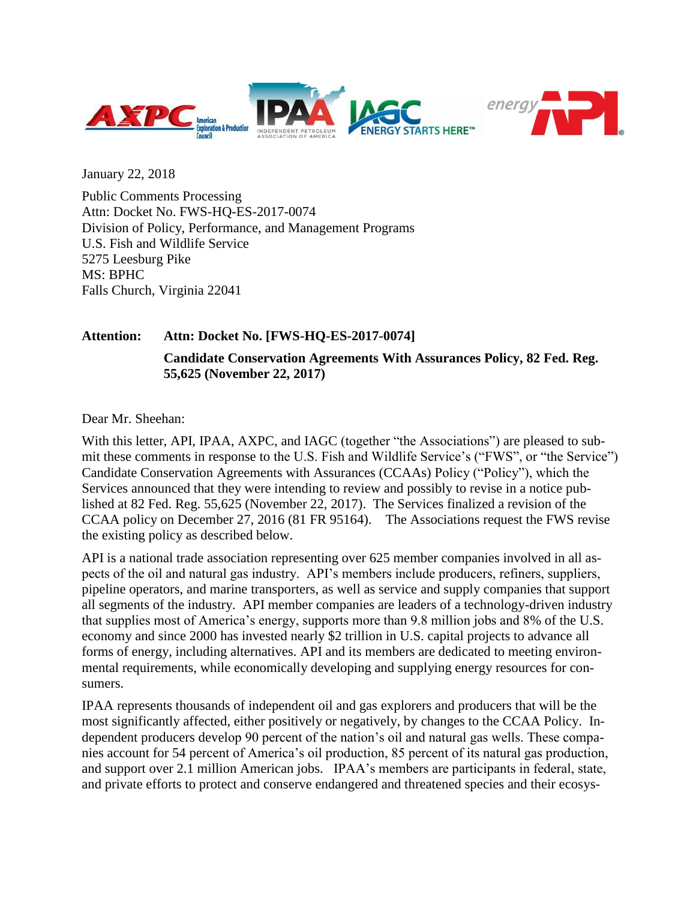



January 22, 2018

Public Comments Processing Attn: Docket No. FWS-HQ-ES-2017-0074 Division of Policy, Performance, and Management Programs U.S. Fish and Wildlife Service 5275 Leesburg Pike MS: BPHC Falls Church, Virginia 22041

#### **Attention: Attn: Docket No. [FWS-HQ-ES-2017-0074]**

**Candidate Conservation Agreements With Assurances Policy, 82 Fed. Reg. 55,625 (November 22, 2017)**

Dear Mr. Sheehan:

With this letter, API, IPAA, AXPC, and IAGC (together "the Associations") are pleased to submit these comments in response to the U.S. Fish and Wildlife Service's ("FWS", or "the Service") Candidate Conservation Agreements with Assurances (CCAAs) Policy ("Policy"), which the Services announced that they were intending to review and possibly to revise in a notice published at 82 Fed. Reg. 55,625 (November 22, 2017). The Services finalized a revision of the CCAA policy on December 27, 2016 (81 FR 95164). The Associations request the FWS revise the existing policy as described below.

API is a national trade association representing over 625 member companies involved in all aspects of the oil and natural gas industry. API's members include producers, refiners, suppliers, pipeline operators, and marine transporters, as well as service and supply companies that support all segments of the industry. API member companies are leaders of a technology-driven industry that supplies most of America's energy, supports more than 9.8 million jobs and 8% of the U.S. economy and since 2000 has invested nearly \$2 trillion in U.S. capital projects to advance all forms of energy, including alternatives. API and its members are dedicated to meeting environmental requirements, while economically developing and supplying energy resources for consumers.

IPAA represents thousands of independent oil and gas explorers and producers that will be the most significantly affected, either positively or negatively, by changes to the CCAA Policy. Independent producers develop 90 percent of the nation's oil and natural gas wells. These companies account for 54 percent of America's oil production, 85 percent of its natural gas production, and support over 2.1 million American jobs. IPAA's members are participants in federal, state, and private efforts to protect and conserve endangered and threatened species and their ecosys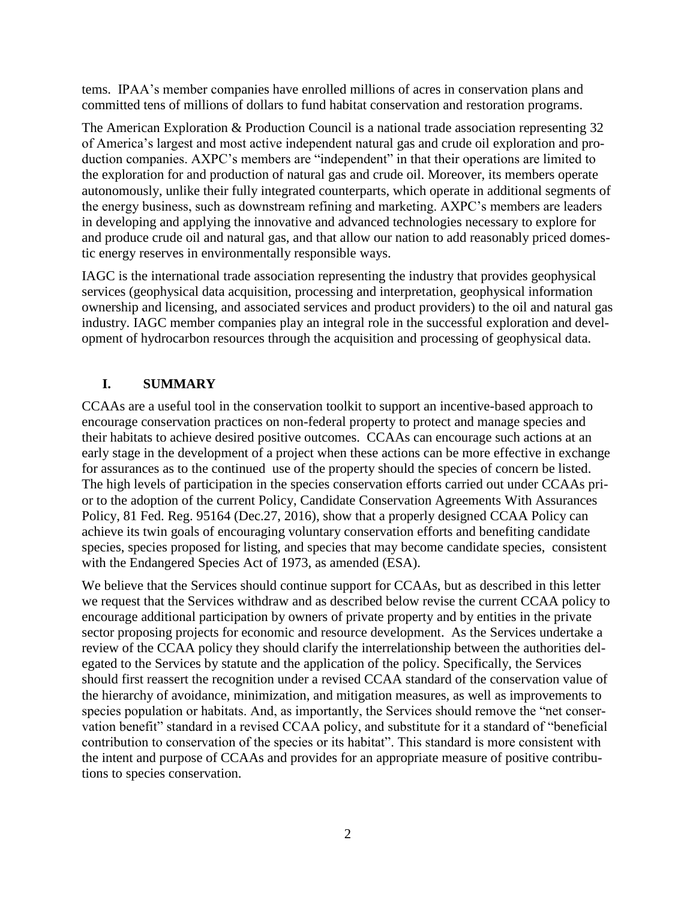tems. IPAA's member companies have enrolled millions of acres in conservation plans and committed tens of millions of dollars to fund habitat conservation and restoration programs.

The American Exploration & Production Council is a national trade association representing 32 of America's largest and most active independent natural gas and crude oil exploration and production companies. AXPC's members are "independent" in that their operations are limited to the exploration for and production of natural gas and crude oil. Moreover, its members operate autonomously, unlike their fully integrated counterparts, which operate in additional segments of the energy business, such as downstream refining and marketing. AXPC's members are leaders in developing and applying the innovative and advanced technologies necessary to explore for and produce crude oil and natural gas, and that allow our nation to add reasonably priced domestic energy reserves in environmentally responsible ways.

IAGC is the international trade association representing the industry that provides geophysical services (geophysical data acquisition, processing and interpretation, geophysical information ownership and licensing, and associated services and product providers) to the oil and natural gas industry. IAGC member companies play an integral role in the successful exploration and development of hydrocarbon resources through the acquisition and processing of geophysical data.

# **I. SUMMARY**

CCAAs are a useful tool in the conservation toolkit to support an incentive-based approach to encourage conservation practices on non-federal property to protect and manage species and their habitats to achieve desired positive outcomes. CCAAs can encourage such actions at an early stage in the development of a project when these actions can be more effective in exchange for assurances as to the continued use of the property should the species of concern be listed. The high levels of participation in the species conservation efforts carried out under CCAAs prior to the adoption of the current Policy, Candidate Conservation Agreements With Assurances Policy, 81 Fed. Reg. 95164 (Dec.27, 2016), show that a properly designed CCAA Policy can achieve its twin goals of encouraging voluntary conservation efforts and benefiting candidate species, species proposed for listing, and species that may become candidate species, consistent with the Endangered Species Act of 1973, as amended (ESA).

We believe that the Services should continue support for CCAAs, but as described in this letter we request that the Services withdraw and as described below revise the current CCAA policy to encourage additional participation by owners of private property and by entities in the private sector proposing projects for economic and resource development. As the Services undertake a review of the CCAA policy they should clarify the interrelationship between the authorities delegated to the Services by statute and the application of the policy. Specifically, the Services should first reassert the recognition under a revised CCAA standard of the conservation value of the hierarchy of avoidance, minimization, and mitigation measures, as well as improvements to species population or habitats. And, as importantly, the Services should remove the "net conservation benefit" standard in a revised CCAA policy, and substitute for it a standard of "beneficial contribution to conservation of the species or its habitat". This standard is more consistent with the intent and purpose of CCAAs and provides for an appropriate measure of positive contributions to species conservation.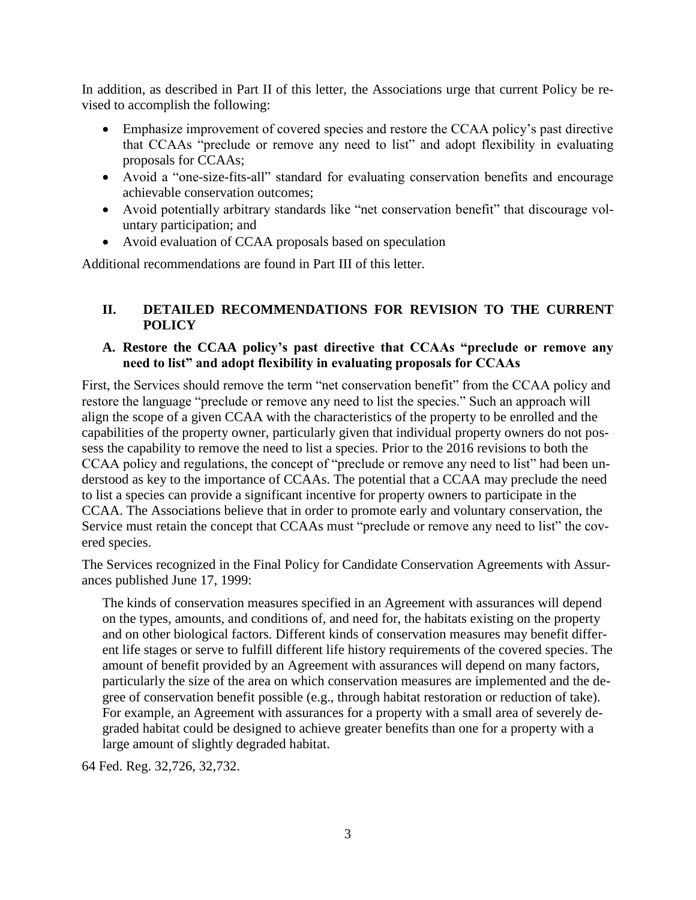In addition, as described in Part II of this letter, the Associations urge that current Policy be revised to accomplish the following:

- Emphasize improvement of covered species and restore the CCAA policy's past directive that CCAAs "preclude or remove any need to list" and adopt flexibility in evaluating proposals for CCAAs;
- Avoid a "one-size-fits-all" standard for evaluating conservation benefits and encourage achievable conservation outcomes;
- Avoid potentially arbitrary standards like "net conservation benefit" that discourage voluntary participation; and
- Avoid evaluation of CCAA proposals based on speculation

Additional recommendations are found in Part III of this letter.

# **II. DETAILED RECOMMENDATIONS FOR REVISION TO THE CURRENT POLICY**

# **A. Restore the CCAA policy's past directive that CCAAs "preclude or remove any need to list" and adopt flexibility in evaluating proposals for CCAAs**

First, the Services should remove the term "net conservation benefit" from the CCAA policy and restore the language "preclude or remove any need to list the species." Such an approach will align the scope of a given CCAA with the characteristics of the property to be enrolled and the capabilities of the property owner, particularly given that individual property owners do not possess the capability to remove the need to list a species. Prior to the 2016 revisions to both the CCAA policy and regulations, the concept of "preclude or remove any need to list" had been understood as key to the importance of CCAAs. The potential that a CCAA may preclude the need to list a species can provide a significant incentive for property owners to participate in the CCAA. The Associations believe that in order to promote early and voluntary conservation, the Service must retain the concept that CCAAs must "preclude or remove any need to list" the covered species.

The Services recognized in the Final Policy for Candidate Conservation Agreements with Assurances published June 17, 1999:

The kinds of conservation measures specified in an Agreement with assurances will depend on the types, amounts, and conditions of, and need for, the habitats existing on the property and on other biological factors. Different kinds of conservation measures may benefit different life stages or serve to fulfill different life history requirements of the covered species. The amount of benefit provided by an Agreement with assurances will depend on many factors, particularly the size of the area on which conservation measures are implemented and the degree of conservation benefit possible (e.g., through habitat restoration or reduction of take). For example, an Agreement with assurances for a property with a small area of severely degraded habitat could be designed to achieve greater benefits than one for a property with a large amount of slightly degraded habitat.

64 Fed. Reg. 32,726, 32,732.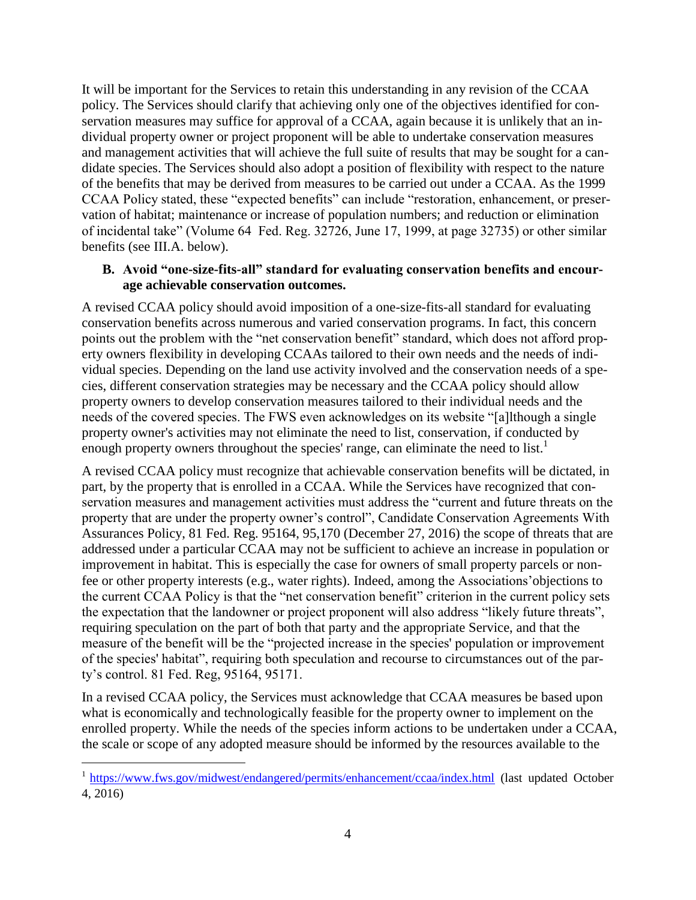It will be important for the Services to retain this understanding in any revision of the CCAA policy. The Services should clarify that achieving only one of the objectives identified for conservation measures may suffice for approval of a CCAA, again because it is unlikely that an individual property owner or project proponent will be able to undertake conservation measures and management activities that will achieve the full suite of results that may be sought for a candidate species. The Services should also adopt a position of flexibility with respect to the nature of the benefits that may be derived from measures to be carried out under a CCAA. As the 1999 CCAA Policy stated, these "expected benefits" can include "restoration, enhancement, or preservation of habitat; maintenance or increase of population numbers; and reduction or elimination of incidental take" (Volume 64 Fed. Reg. 32726, June 17, 1999, at page 32735) or other similar benefits (see III.A. below).

### **B. Avoid "one-size-fits-all" standard for evaluating conservation benefits and encourage achievable conservation outcomes.**

A revised CCAA policy should avoid imposition of a one-size-fits-all standard for evaluating conservation benefits across numerous and varied conservation programs. In fact, this concern points out the problem with the "net conservation benefit" standard, which does not afford property owners flexibility in developing CCAAs tailored to their own needs and the needs of individual species. Depending on the land use activity involved and the conservation needs of a species, different conservation strategies may be necessary and the CCAA policy should allow property owners to develop conservation measures tailored to their individual needs and the needs of the covered species. The FWS even acknowledges on its website "[a]lthough a single property owner's activities may not eliminate the need to list, conservation, if conducted by enough property owners throughout the species' range, can eliminate the need to list.<sup>1</sup>

A revised CCAA policy must recognize that achievable conservation benefits will be dictated, in part, by the property that is enrolled in a CCAA. While the Services have recognized that conservation measures and management activities must address the "current and future threats on the property that are under the property owner's control", Candidate Conservation Agreements With Assurances Policy, 81 Fed. Reg. 95164, 95,170 (December 27, 2016) the scope of threats that are addressed under a particular CCAA may not be sufficient to achieve an increase in population or improvement in habitat. This is especially the case for owners of small property parcels or nonfee or other property interests (e.g., water rights). Indeed, among the Associations'objections to the current CCAA Policy is that the "net conservation benefit" criterion in the current policy sets the expectation that the landowner or project proponent will also address "likely future threats", requiring speculation on the part of both that party and the appropriate Service, and that the measure of the benefit will be the "projected increase in the species' population or improvement of the species' habitat", requiring both speculation and recourse to circumstances out of the party's control. 81 Fed. Reg, 95164, 95171.

In a revised CCAA policy, the Services must acknowledge that CCAA measures be based upon what is economically and technologically feasible for the property owner to implement on the enrolled property. While the needs of the species inform actions to be undertaken under a CCAA, the scale or scope of any adopted measure should be informed by the resources available to the

 $\overline{a}$ 

<sup>&</sup>lt;sup>1</sup> <https://www.fws.gov/midwest/endangered/permits/enhancement/ccaa/index.html> (last updated October 4, 2016)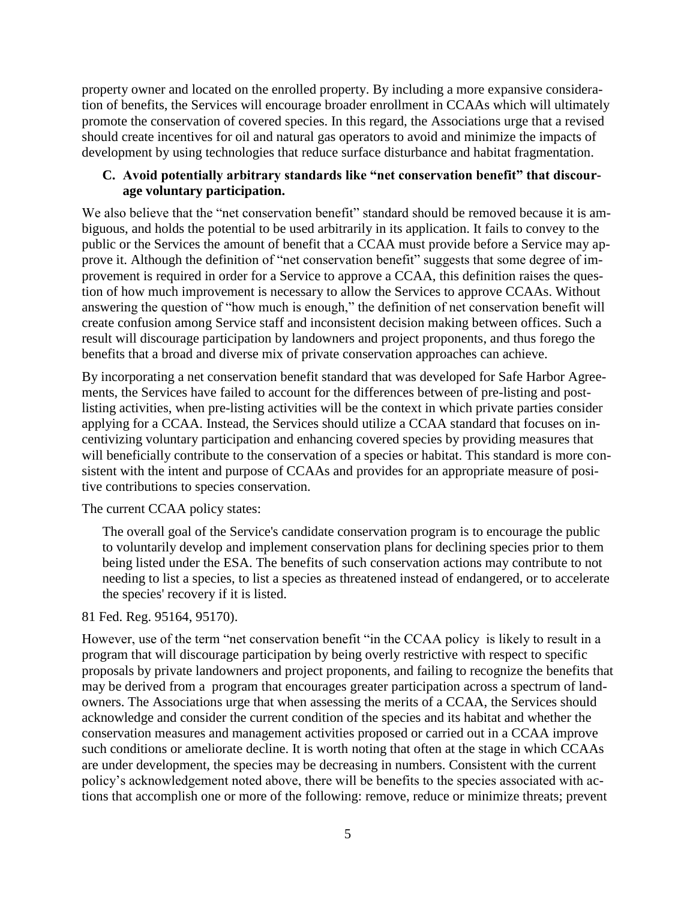property owner and located on the enrolled property. By including a more expansive consideration of benefits, the Services will encourage broader enrollment in CCAAs which will ultimately promote the conservation of covered species. In this regard, the Associations urge that a revised should create incentives for oil and natural gas operators to avoid and minimize the impacts of development by using technologies that reduce surface disturbance and habitat fragmentation.

### **C. Avoid potentially arbitrary standards like "net conservation benefit" that discourage voluntary participation.**

We also believe that the "net conservation benefit" standard should be removed because it is ambiguous, and holds the potential to be used arbitrarily in its application. It fails to convey to the public or the Services the amount of benefit that a CCAA must provide before a Service may approve it. Although the definition of "net conservation benefit" suggests that some degree of improvement is required in order for a Service to approve a CCAA, this definition raises the question of how much improvement is necessary to allow the Services to approve CCAAs. Without answering the question of "how much is enough," the definition of net conservation benefit will create confusion among Service staff and inconsistent decision making between offices. Such a result will discourage participation by landowners and project proponents, and thus forego the benefits that a broad and diverse mix of private conservation approaches can achieve.

By incorporating a net conservation benefit standard that was developed for Safe Harbor Agreements, the Services have failed to account for the differences between of pre-listing and postlisting activities, when pre-listing activities will be the context in which private parties consider applying for a CCAA. Instead, the Services should utilize a CCAA standard that focuses on incentivizing voluntary participation and enhancing covered species by providing measures that will beneficially contribute to the conservation of a species or habitat. This standard is more consistent with the intent and purpose of CCAAs and provides for an appropriate measure of positive contributions to species conservation.

The current CCAA policy states:

The overall goal of the Service's candidate conservation program is to encourage the public to voluntarily develop and implement conservation plans for declining species prior to them being listed under the ESA. The benefits of such conservation actions may contribute to not needing to list a species, to list a species as threatened instead of endangered, or to accelerate the species' recovery if it is listed.

# 81 Fed. Reg. 95164, 95170).

However, use of the term "net conservation benefit "in the CCAA policy is likely to result in a program that will discourage participation by being overly restrictive with respect to specific proposals by private landowners and project proponents, and failing to recognize the benefits that may be derived from a program that encourages greater participation across a spectrum of landowners. The Associations urge that when assessing the merits of a CCAA, the Services should acknowledge and consider the current condition of the species and its habitat and whether the conservation measures and management activities proposed or carried out in a CCAA improve such conditions or ameliorate decline. It is worth noting that often at the stage in which CCAAs are under development, the species may be decreasing in numbers. Consistent with the current policy's acknowledgement noted above, there will be benefits to the species associated with actions that accomplish one or more of the following: remove, reduce or minimize threats; prevent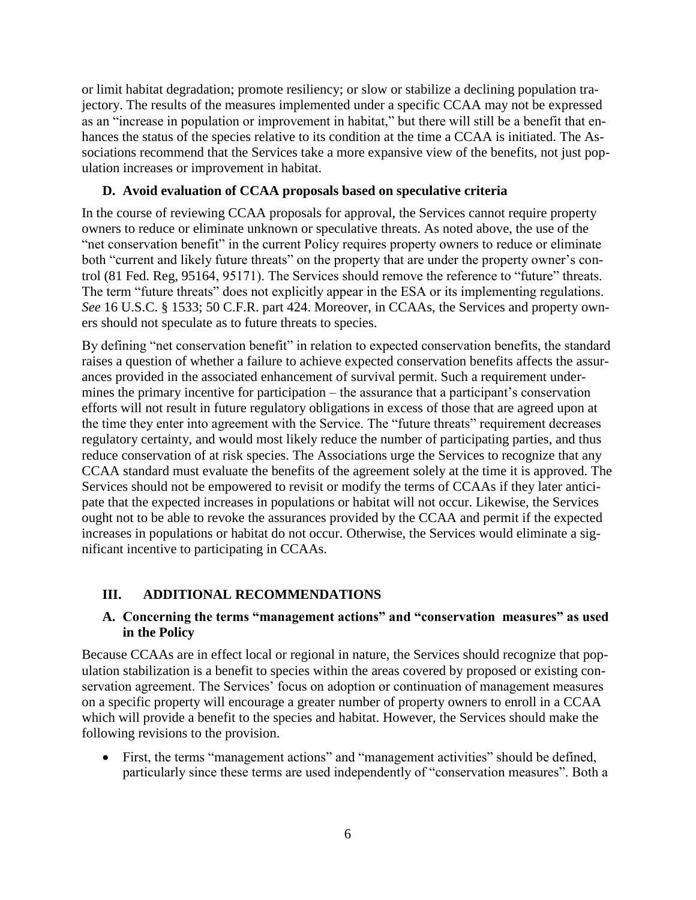or limit habitat degradation; promote resiliency; or slow or stabilize a declining population trajectory. The results of the measures implemented under a specific CCAA may not be expressed as an "increase in population or improvement in habitat," but there will still be a benefit that enhances the status of the species relative to its condition at the time a CCAA is initiated. The Associations recommend that the Services take a more expansive view of the benefits, not just population increases or improvement in habitat.

### **D. Avoid evaluation of CCAA proposals based on speculative criteria**

In the course of reviewing CCAA proposals for approval, the Services cannot require property owners to reduce or eliminate unknown or speculative threats. As noted above, the use of the "net conservation benefit" in the current Policy requires property owners to reduce or eliminate both "current and likely future threats" on the property that are under the property owner's control (81 Fed. Reg, 95164, 95171). The Services should remove the reference to "future" threats. The term "future threats" does not explicitly appear in the ESA or its implementing regulations. *See* 16 U.S.C. § 1533; 50 C.F.R. part 424. Moreover, in CCAAs, the Services and property owners should not speculate as to future threats to species.

By defining "net conservation benefit" in relation to expected conservation benefits, the standard raises a question of whether a failure to achieve expected conservation benefits affects the assurances provided in the associated enhancement of survival permit. Such a requirement undermines the primary incentive for participation – the assurance that a participant's conservation efforts will not result in future regulatory obligations in excess of those that are agreed upon at the time they enter into agreement with the Service. The "future threats" requirement decreases regulatory certainty, and would most likely reduce the number of participating parties, and thus reduce conservation of at risk species. The Associations urge the Services to recognize that any CCAA standard must evaluate the benefits of the agreement solely at the time it is approved. The Services should not be empowered to revisit or modify the terms of CCAAs if they later anticipate that the expected increases in populations or habitat will not occur. Likewise, the Services ought not to be able to revoke the assurances provided by the CCAA and permit if the expected increases in populations or habitat do not occur. Otherwise, the Services would eliminate a significant incentive to participating in CCAAs.

# **III. ADDITIONAL RECOMMENDATIONS**

# **A. Concerning the terms "management actions" and "conservation measures" as used in the Policy**

Because CCAAs are in effect local or regional in nature, the Services should recognize that population stabilization is a benefit to species within the areas covered by proposed or existing conservation agreement. The Services' focus on adoption or continuation of management measures on a specific property will encourage a greater number of property owners to enroll in a CCAA which will provide a benefit to the species and habitat. However, the Services should make the following revisions to the provision.

 First, the terms "management actions" and "management activities" should be defined, particularly since these terms are used independently of "conservation measures". Both a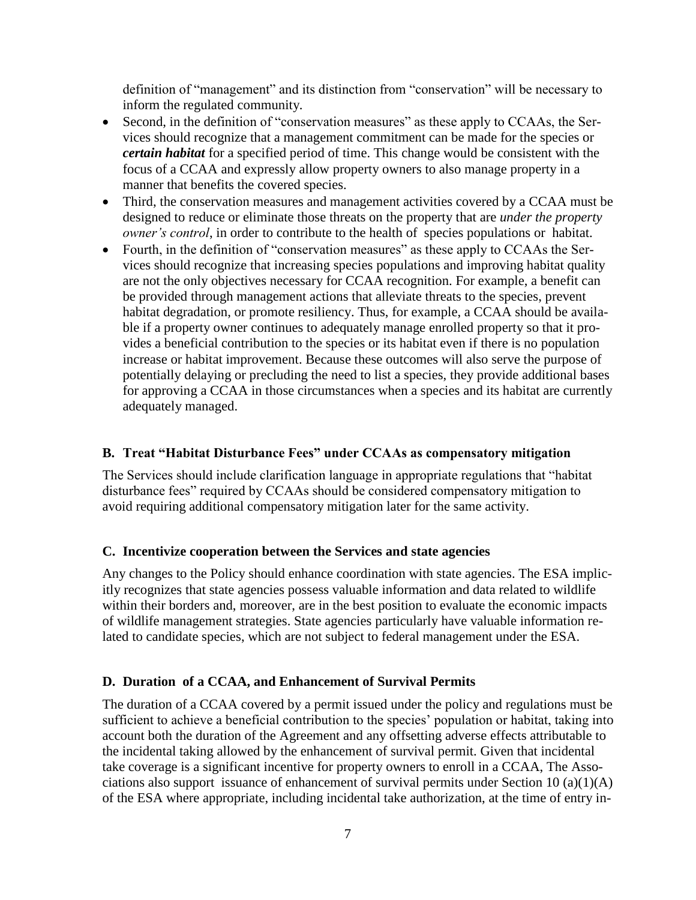definition of "management" and its distinction from "conservation" will be necessary to inform the regulated community.

- Second, in the definition of "conservation measures" as these apply to CCAAs, the Services should recognize that a management commitment can be made for the species or *certain habitat* for a specified period of time. This change would be consistent with the focus of a CCAA and expressly allow property owners to also manage property in a manner that benefits the covered species.
- Third, the conservation measures and management activities covered by a CCAA must be designed to reduce or eliminate those threats on the property that are *under the property owner's control*, in order to contribute to the health of species populations or habitat.
- Fourth, in the definition of "conservation measures" as these apply to CCAAs the Services should recognize that increasing species populations and improving habitat quality are not the only objectives necessary for CCAA recognition. For example, a benefit can be provided through management actions that alleviate threats to the species, prevent habitat degradation, or promote resiliency. Thus, for example, a CCAA should be available if a property owner continues to adequately manage enrolled property so that it provides a beneficial contribution to the species or its habitat even if there is no population increase or habitat improvement. Because these outcomes will also serve the purpose of potentially delaying or precluding the need to list a species, they provide additional bases for approving a CCAA in those circumstances when a species and its habitat are currently adequately managed.

#### **B. Treat "Habitat Disturbance Fees" under CCAAs as compensatory mitigation**

The Services should include clarification language in appropriate regulations that "habitat disturbance fees" required by CCAAs should be considered compensatory mitigation to avoid requiring additional compensatory mitigation later for the same activity.

#### **C. Incentivize cooperation between the Services and state agencies**

Any changes to the Policy should enhance coordination with state agencies. The ESA implicitly recognizes that state agencies possess valuable information and data related to wildlife within their borders and, moreover, are in the best position to evaluate the economic impacts of wildlife management strategies. State agencies particularly have valuable information related to candidate species, which are not subject to federal management under the ESA.

#### **D. Duration of a CCAA, and Enhancement of Survival Permits**

The duration of a CCAA covered by a permit issued under the policy and regulations must be sufficient to achieve a beneficial contribution to the species' population or habitat, taking into account both the duration of the Agreement and any offsetting adverse effects attributable to the incidental taking allowed by the enhancement of survival permit. Given that incidental take coverage is a significant incentive for property owners to enroll in a CCAA, The Associations also support issuance of enhancement of survival permits under Section 10 (a)(1)(A) of the ESA where appropriate, including incidental take authorization, at the time of entry in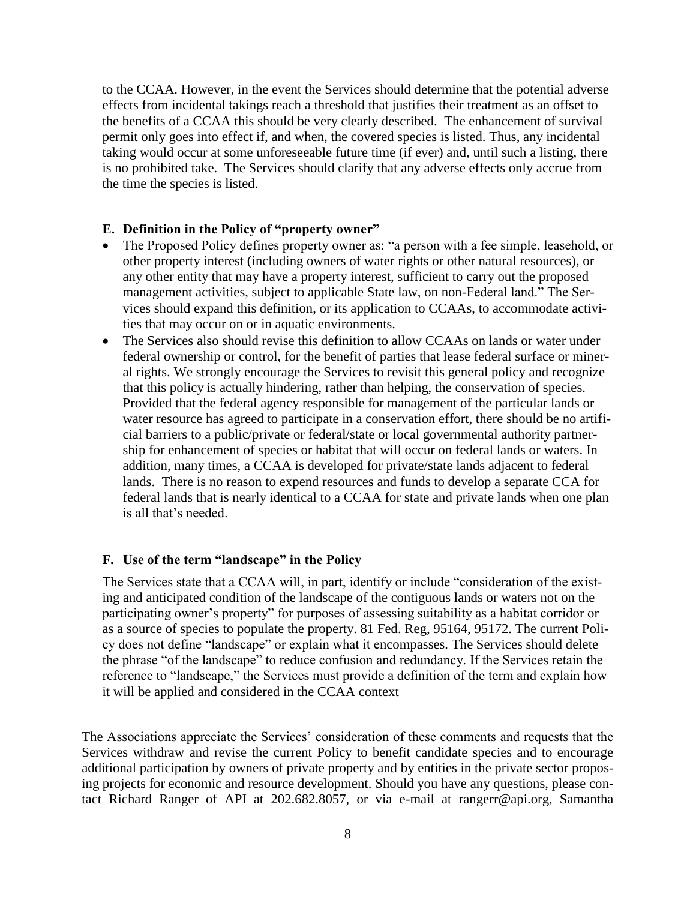to the CCAA. However, in the event the Services should determine that the potential adverse effects from incidental takings reach a threshold that justifies their treatment as an offset to the benefits of a CCAA this should be very clearly described. The enhancement of survival permit only goes into effect if, and when, the covered species is listed. Thus, any incidental taking would occur at some unforeseeable future time (if ever) and, until such a listing, there is no prohibited take. The Services should clarify that any adverse effects only accrue from the time the species is listed.

#### **E. Definition in the Policy of "property owner"**

- The Proposed Policy defines property owner as: "a person with a fee simple, leasehold, or other property interest (including owners of water rights or other natural resources), or any other entity that may have a property interest, sufficient to carry out the proposed management activities, subject to applicable State law, on non-Federal land." The Services should expand this definition, or its application to CCAAs, to accommodate activities that may occur on or in aquatic environments.
- The Services also should revise this definition to allow CCAAs on lands or water under federal ownership or control, for the benefit of parties that lease federal surface or mineral rights. We strongly encourage the Services to revisit this general policy and recognize that this policy is actually hindering, rather than helping, the conservation of species. Provided that the federal agency responsible for management of the particular lands or water resource has agreed to participate in a conservation effort, there should be no artificial barriers to a public/private or federal/state or local governmental authority partnership for enhancement of species or habitat that will occur on federal lands or waters. In addition, many times, a CCAA is developed for private/state lands adjacent to federal lands. There is no reason to expend resources and funds to develop a separate CCA for federal lands that is nearly identical to a CCAA for state and private lands when one plan is all that's needed.

#### **F. Use of the term "landscape" in the Policy**

The Services state that a CCAA will, in part, identify or include "consideration of the existing and anticipated condition of the landscape of the contiguous lands or waters not on the participating owner's property" for purposes of assessing suitability as a habitat corridor or as a source of species to populate the property. 81 Fed. Reg, 95164, 95172. The current Policy does not define "landscape" or explain what it encompasses. The Services should delete the phrase "of the landscape" to reduce confusion and redundancy. If the Services retain the reference to "landscape," the Services must provide a definition of the term and explain how it will be applied and considered in the CCAA context

The Associations appreciate the Services' consideration of these comments and requests that the Services withdraw and revise the current Policy to benefit candidate species and to encourage additional participation by owners of private property and by entities in the private sector proposing projects for economic and resource development. Should you have any questions, please contact Richard Ranger of API at 202.682.8057, or via e-mail at rangerr@api.org, Samantha